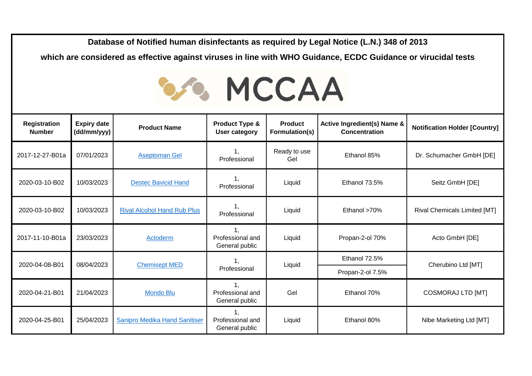**Database of Notified human disinfectants as required by Legal Notice (L.N.) 348 of 2013** 

**which are considered as effective against viruses in line with WHO Guidance, ECDC Guidance or virucidal tests**

## **SA MCCAA**

| Registration<br><b>Number</b> | <b>Expiry date</b><br>(dd/mm/yyy) | <b>Product Name</b>                | <b>Product Type &amp;</b><br><b>User category</b> | <b>Product</b><br>Formulation(s) | Active Ingredient(s) Name &<br><b>Concentration</b> | <b>Notification Holder [Country]</b> |
|-------------------------------|-----------------------------------|------------------------------------|---------------------------------------------------|----------------------------------|-----------------------------------------------------|--------------------------------------|
| 2017-12-27-B01a               | 07/01/2023                        | <b>Aseptoman Gel</b>               | 1.<br>Professional                                | Ready to use<br>Gel              | Ethanol 85%                                         | Dr. Schumacher GmbH [DE]             |
| 2020-03-10-B02                | 10/03/2023                        | <b>Destec Bavicid Hand</b>         | 1.<br>Professional                                | Liquid                           | Ethanol 73.5%                                       | Seitz GmbH [DE]                      |
| 2020-03-10-B02                | 10/03/2023                        | <b>Rival Alcohol Hand Rub Plus</b> | 1.<br>Professional                                | Liquid                           | Ethanol >70%                                        | <b>Rival Chemicals Limited [MT]</b>  |
| 2017-11-10-B01a               | 23/03/2023                        | Actoderm                           | Professional and<br>General public                | Liquid                           | Propan-2-ol 70%                                     | Acto GmbH [DE]                       |
| 2020-04-08-B01                | 08/04/2023                        |                                    | Professional                                      |                                  | Ethanol 72.5%                                       | Cherubino Ltd [MT]                   |
|                               |                                   | <b>Chemisept MED</b>               |                                                   | Liquid                           | Propan-2-ol 7.5%                                    |                                      |
| 2020-04-21-B01                | 21/04/2023                        | <b>Mondo Blu</b>                   | Professional and<br>General public                | Gel                              | Ethanol 70%                                         | <b>COSMORAJ LTD [MT]</b>             |
| 2020-04-25-B01                | 25/04/2023                        | Sanipro Medika Hand Sanitiser      | Professional and<br>General public                | Liquid                           | Ethanol 80%                                         | Nibe Marketing Ltd [MT]              |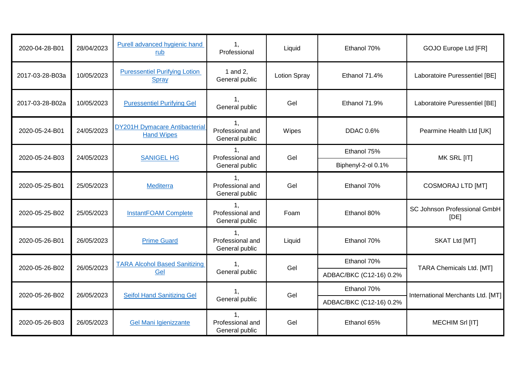| 2020-04-28-B01               | 28/04/2023 | Purell advanced hygienic hand<br>rub                      | $\mathbf{1},$<br>Professional                        | Liquid              | Ethanol 70%             | GOJO Europe Ltd [FR]                 |
|------------------------------|------------|-----------------------------------------------------------|------------------------------------------------------|---------------------|-------------------------|--------------------------------------|
| 2017-03-28-B03a              | 10/05/2023 | <b>Puressentiel Purifying Lotion</b><br>Spray             | 1 and 2,<br>General public                           | <b>Lotion Spray</b> | Ethanol 71.4%           | Laboratoire Puressentiel [BE]        |
| 2017-03-28-B02a              | 10/05/2023 | <b>Puressentiel Purifying Gel</b>                         | 1.<br>General public                                 | Gel                 | Ethanol 71.9%           | Laboratoire Puressentiel [BE]        |
| 2020-05-24-B01               | 24/05/2023 | <b>DY201H Dymacare Antibacterial</b><br><b>Hand Wipes</b> | 1,<br>Professional and<br>General public             | Wipes               | <b>DDAC 0.6%</b>        | Pearmine Health Ltd [UK]             |
|                              |            | <b>SANIGEL HG</b>                                         | $\mathbf{1}$ .<br>Professional and<br>General public | Gel                 | Ethanol 75%             |                                      |
| 2020-05-24-B03<br>24/05/2023 |            |                                                           |                                                      |                     | Biphenyl-2-ol 0.1%      | MK SRL [IT]                          |
| 2020-05-25-B01               | 25/05/2023 | <b>Mediterra</b>                                          | 1.<br>Professional and<br>General public             | Gel                 | Ethanol 70%             | <b>COSMORAJ LTD [MT]</b>             |
| 2020-05-25-B02               | 25/05/2023 | <b>InstantFOAM Complete</b>                               | $\mathbf{1}$<br>Professional and<br>General public   | Foam                | Ethanol 80%             | SC Johnson Professional GmbH<br>[DE] |
| 2020-05-26-B01               | 26/05/2023 | <b>Prime Guard</b>                                        | Professional and<br>General public                   | Liquid              | Ethanol 70%             | SKAT Ltd [MT]                        |
| 2020-05-26-B02               | 26/05/2023 | <b>TARA Alcohol Based Sanitizing</b>                      | $\mathbf{1}$ .                                       | Gel                 | Ethanol 70%             |                                      |
|                              |            | Gel                                                       | General public                                       |                     | ADBAC/BKC (C12-16) 0.2% | TARA Chemicals Ltd. [MT]             |
|                              |            |                                                           | 1.                                                   |                     | Ethanol 70%             |                                      |
| 2020-05-26-B02               | 26/05/2023 | <b>Seifol Hand Sanitizing Gel</b>                         | General public                                       | Gel                 | ADBAC/BKC (C12-16) 0.2% | International Merchants Ltd. [MT]    |
| 2020-05-26-B03               | 26/05/2023 | Gel Mani Igienizzante                                     | 1,<br>Professional and<br>General public             | Gel                 | Ethanol 65%             | MECHIM Srl [IT]                      |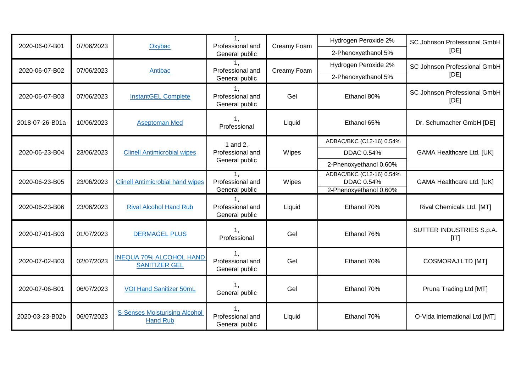| 2020-06-07-B01  | 07/06/2023 | Oxybac                                                  | 1.<br>Professional and                   | Creamy Foam | Hydrogen Peroxide 2%                          | SC Johnson Professional GmbH         |
|-----------------|------------|---------------------------------------------------------|------------------------------------------|-------------|-----------------------------------------------|--------------------------------------|
|                 |            |                                                         | General public                           |             | 2-Phenoxyethanol 5%                           | [DE]                                 |
| 2020-06-07-B02  | 07/06/2023 | Antibac                                                 | Professional and                         | Creamy Foam | Hydrogen Peroxide 2%                          | SC Johnson Professional GmbH         |
|                 |            |                                                         | General public                           |             | 2-Phenoxyethanol 5%                           | [DE]                                 |
| 2020-06-07-B03  | 07/06/2023 | <b>InstantGEL Complete</b>                              | 1.<br>Professional and<br>General public | Gel         | Ethanol 80%                                   | SC Johnson Professional GmbH<br>[DE] |
| 2018-07-26-B01a | 10/06/2023 | <b>Aseptoman Med</b>                                    | 1.<br>Professional                       | Liquid      | Ethanol 65%                                   | Dr. Schumacher GmbH [DE]             |
|                 |            |                                                         | 1 and 2,                                 |             | ADBAC/BKC (C12-16) 0.54%                      |                                      |
| 2020-06-23-B04  | 23/06/2023 | <b>Clinell Antimicrobial wipes</b>                      | Professional and<br>General public       | Wipes       | <b>DDAC 0.54%</b>                             | <b>GAMA Healthcare Ltd. [UK]</b>     |
|                 |            |                                                         |                                          |             | 2-Phenoxyethanol 0.60%                        |                                      |
| 2020-06-23-B05  | 23/06/2023 | <b>Clinell Antimicrobial hand wipes</b>                 | Professional and                         | Wipes       | ADBAC/BKC (C12-16) 0.54%<br><b>DDAC 0.54%</b> | <b>GAMA Healthcare Ltd. [UK]</b>     |
|                 |            |                                                         | General public                           |             | 2-Phenoxyethanol 0.60%                        |                                      |
| 2020-06-23-B06  | 23/06/2023 | <b>Rival Alcohol Hand Rub</b>                           | 1.<br>Professional and<br>General public | Liquid      | Ethanol 70%                                   | Rival Chemicals Ltd. [MT]            |
| 2020-07-01-B03  | 01/07/2023 | <b>DERMAGEL PLUS</b>                                    | 1.<br>Professional                       | Gel         | Ethanol 76%                                   | SUTTER INDUSTRIES S.p.A.<br>[IT]     |
| 2020-07-02-B03  | 02/07/2023 | <b>INEQUA 70% ALCOHOL HAND</b><br><b>SANITIZER GEL</b>  | Professional and<br>General public       | Gel         | Ethanol 70%                                   | <b>COSMORAJ LTD [MT]</b>             |
| 2020-07-06-B01  | 06/07/2023 | <b>VOI Hand Sanitizer 50mL</b>                          | General public                           | Gel         | Ethanol 70%                                   | Pruna Trading Ltd [MT]               |
| 2020-03-23-B02b | 06/07/2023 | <b>S-Senses Moisturising Alcohol</b><br><b>Hand Rub</b> | Professional and<br>General public       | Liquid      | Ethanol 70%                                   | O-Vida International Ltd [MT]        |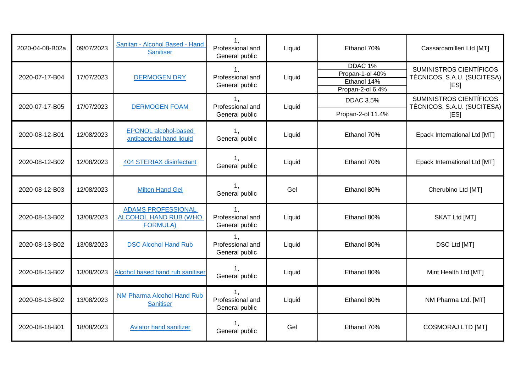| 2020-04-08-B02a | 09/07/2023 | Sanitan - Alcohol Based - Hand<br><b>Sanitiser</b>                           | 1.<br>Professional and<br>General public             | Liquid | Ethanol 70%                                                              | Cassarcamilleri Ltd [MT]                                              |
|-----------------|------------|------------------------------------------------------------------------------|------------------------------------------------------|--------|--------------------------------------------------------------------------|-----------------------------------------------------------------------|
| 2020-07-17-B04  | 17/07/2023 | <b>DERMOGEN DRY</b>                                                          | 1 <sub>1</sub><br>Professional and<br>General public | Liquid | DDAC <sub>1%</sub><br>Propan-1-ol 40%<br>Ethanol 14%<br>Propan-2-ol 6.4% | <b>SUMINISTROS CIENTÍFICOS</b><br>TÉCNICOS, S.A.U. (SUCITESA)<br>[ES] |
| 2020-07-17-B05  | 17/07/2023 | <b>DERMOGEN FOAM</b>                                                         | 1,<br>Professional and                               | Liquid | <b>DDAC 3.5%</b>                                                         | SUMINISTROS CIENTÍFICOS<br>TÉCNICOS, S.A.U. (SUCITESA)                |
|                 |            |                                                                              | General public                                       |        | Propan-2-ol 11.4%                                                        | [ES]                                                                  |
| 2020-08-12-B01  | 12/08/2023 | <b>EPONOL alcohol-based</b><br>antibacterial hand liquid                     | 1.<br>General public                                 | Liquid | Ethanol 70%                                                              | Epack International Ltd [MT]                                          |
| 2020-08-12-B02  | 12/08/2023 | 404 STERIAX disinfectant                                                     | 1.<br>General public                                 | Liquid | Ethanol 70%                                                              | Epack International Ltd [MT]                                          |
| 2020-08-12-B03  | 12/08/2023 | <b>Milton Hand Gel</b>                                                       | 1 <sub>1</sub><br>General public                     | Gel    | Ethanol 80%                                                              | Cherubino Ltd [MT]                                                    |
| 2020-08-13-B02  | 13/08/2023 | <b>ADAMS PROFESSIONAL</b><br><b>ALCOHOL HAND RUB (WHO</b><br><b>FORMULA)</b> | $\mathbf{1},$<br>Professional and<br>General public  | Liquid | Ethanol 80%                                                              | SKAT Ltd [MT]                                                         |
| 2020-08-13-B02  | 13/08/2023 | <b>DSC Alcohol Hand Rub</b>                                                  | Professional and<br>General public                   | Liquid | Ethanol 80%                                                              | DSC Ltd [MT]                                                          |
| 2020-08-13-B02  | 13/08/2023 | Alcohol based hand rub sanitiser                                             | 1 <sub>1</sub><br>General public                     | Liquid | Ethanol 80%                                                              | Mint Health Ltd [MT]                                                  |
| 2020-08-13-B02  | 13/08/2023 | NM Pharma Alcohol Hand Rub<br><b>Sanitiser</b>                               | $\mathbf{1},$<br>Professional and<br>General public  | Liquid | Ethanol 80%                                                              | NM Pharma Ltd. [MT]                                                   |
| 2020-08-18-B01  | 18/08/2023 | <b>Aviator hand sanitizer</b>                                                | 1,<br>General public                                 | Gel    | Ethanol 70%                                                              | COSMORAJ LTD [MT]                                                     |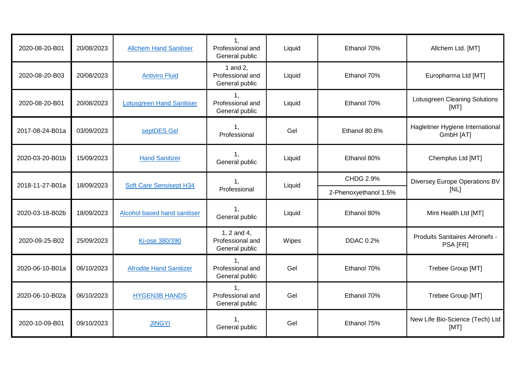| 2020-08-20-B01  | 20/08/2023 | <b>Allchem Hand Sanitiser</b>    | 1,<br>Professional and<br>General public             | Liquid | Ethanol 70%           | Allchem Ltd. [MT]                             |
|-----------------|------------|----------------------------------|------------------------------------------------------|--------|-----------------------|-----------------------------------------------|
| 2020-08-20-B03  | 20/08/2023 | <b>Antiviro Fluid</b>            | 1 and 2,<br>Professional and<br>General public       | Liquid | Ethanol 70%           | Europharma Ltd [MT]                           |
| 2020-08-20-B01  | 20/08/2023 | <b>Lotusgreen Hand Sanitiser</b> | Professional and<br>General public                   | Liquid | Ethanol 70%           | Lotusgreen Cleaning Solutions<br>[MT]         |
| 2017-08-24-B01a | 03/09/2023 | septDES Gel                      | 1,<br>Professional                                   | Gel    | Ethanol 80.8%         | Hagleitner Hygiene International<br>GmbH [AT] |
| 2020-03-20-B01b | 15/09/2023 | <b>Hand Sanitizer</b>            | 1,<br>General public                                 | Liquid | Ethanol 80%           | Chemplus Ltd [MT]                             |
|                 | 18/09/2023 | <b>Soft Care Sensisept H34</b>   | 1,                                                   | Liquid | <b>CHDG 2.9%</b>      | Diversey Europe Operations BV                 |
| 2018-11-27-B01a |            |                                  | Professional                                         |        | 2-Phenoxyethanol 1.5% | [NL]                                          |
| 2020-03-18-B02b | 18/09/2023 | Alcohol based hand sanitiser     | General public                                       | Liquid | Ethanol 80%           | Mint Health Ltd [MT]                          |
| 2020-09-25-B02  | 25/09/2023 | Ki-ose 380/390                   | 1, 2 and 4,<br>Professional and<br>General public    | Wipes  | <b>DDAC 0.2%</b>      | Produits Sanitaires Aéronefs -<br>PSA [FR]    |
| 2020-06-10-B01a | 06/10/2023 | <b>Afrodite Hand Sanitizer</b>   | 1 <sub>1</sub><br>Professional and<br>General public | Gel    | Ethanol 70%           | Trebee Group [MT]                             |
| 2020-06-10-B02a | 06/10/2023 | <b>HYGEN3B HANDS</b>             | 1 <sub>1</sub><br>Professional and<br>General public | Gel    | Ethanol 70%           | Trebee Group [MT]                             |
| 2020-10-09-B01  | 09/10/2023 | <b>JINGYI</b>                    | 1,<br>General public                                 | Gel    | Ethanol 75%           | New Life Bio-Science (Tech) Ltd<br>[MT]       |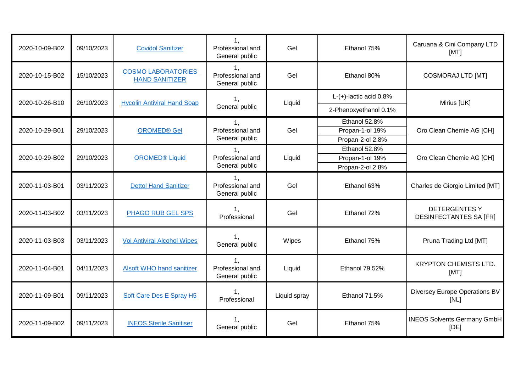| 2020-10-09-B02 | 09/10/2023 | <b>Covidol Sanitizer</b>                           | 1.<br>Professional and<br>General public             | Gel          | Ethanol 75%                       | Caruana & Cini Company LTD<br>[MT]                    |
|----------------|------------|----------------------------------------------------|------------------------------------------------------|--------------|-----------------------------------|-------------------------------------------------------|
| 2020-10-15-B02 | 15/10/2023 | <b>COSMO LABORATORIES</b><br><b>HAND SANITIZER</b> | 1,<br>Professional and<br>General public             | Gel          | Ethanol 80%                       | <b>COSMORAJ LTD [MT]</b>                              |
| 2020-10-26-B10 | 26/10/2023 | <b>Hycolin Antiviral Hand Soap</b>                 | 1.<br>General public                                 | Liquid       | $L-(+)$ -lactic acid $0.8\%$      | Mirius [UK]                                           |
|                |            |                                                    |                                                      |              | 2-Phenoxyethanol 0.1%             |                                                       |
|                |            |                                                    | 1,<br>Professional and<br>General public             |              | Ethanol 52.8%                     |                                                       |
| 2020-10-29-B01 | 29/10/2023 | <b>OROMED® Gel</b>                                 |                                                      | Gel          | Propan-1-ol 19%                   | Oro Clean Chemie AG [CH]                              |
|                |            |                                                    |                                                      |              | Propan-2-ol 2.8%<br>Ethanol 52.8% |                                                       |
| 2020-10-29-B02 | 29/10/2023 | <b>OROMED®</b> Liquid                              | 1 <sub>1</sub><br>Professional and                   | Liquid       | Propan-1-ol 19%                   | Oro Clean Chemie AG [CH]                              |
|                |            |                                                    | General public                                       |              | Propan-2-ol 2.8%                  |                                                       |
| 2020-11-03-B01 | 03/11/2023 | <b>Dettol Hand Sanitizer</b>                       | Professional and<br>General public                   | Gel          | Ethanol 63%                       | Charles de Giorgio Limited [MT]                       |
| 2020-11-03-B02 | 03/11/2023 | PHAGO RUB GEL SPS                                  | 1.<br>Professional                                   | Gel          | Ethanol 72%                       | <b>DETERGENTES Y</b><br><b>DESINFECTANTES SA [FR]</b> |
| 2020-11-03-B03 | 03/11/2023 | <b>Voi Antiviral Alcohol Wipes</b>                 | 1.<br>General public                                 | Wipes        | Ethanol 75%                       | Pruna Trading Ltd [MT]                                |
| 2020-11-04-B01 | 04/11/2023 | <b>Alsoft WHO hand sanitizer</b>                   | 1 <sub>1</sub><br>Professional and<br>General public | Liquid       | Ethanol 79.52%                    | <b>KRYPTON CHEMISTS LTD.</b><br>[MT]                  |
| 2020-11-09-B01 | 09/11/2023 | Soft Care Des E Spray H5                           | 1.<br>Professional                                   | Liquid spray | Ethanol 71.5%                     | Diversey Europe Operations BV<br>[NL]                 |
| 2020-11-09-B02 | 09/11/2023 | <b>INEOS Sterile Sanitiser</b>                     | 1.<br>General public                                 | Gel          | Ethanol 75%                       | <b>INEOS Solvents Germany GmbH</b><br>[DE]            |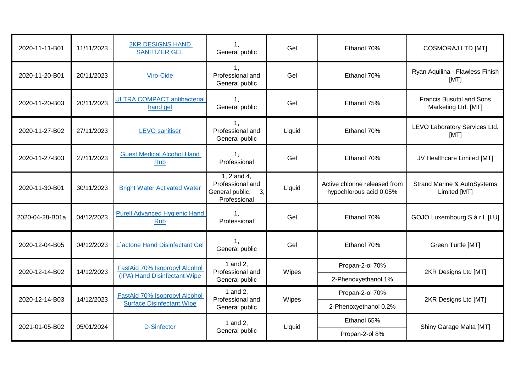| 2020-11-11-B01  | 11/11/2023 | <b>2KR DESIGNS HAND</b><br><b>SANITIZER GEL</b>    | 1.<br>General public                                                         | Gel    | Ethanol 70%                                              | <b>COSMORAJ LTD [MT]</b>                                |
|-----------------|------------|----------------------------------------------------|------------------------------------------------------------------------------|--------|----------------------------------------------------------|---------------------------------------------------------|
| 2020-11-20-B01  | 20/11/2023 | Viro-Cide                                          | 1,<br>Professional and<br>General public                                     | Gel    | Ethanol 70%                                              | Ryan Aquilina - Flawless Finish<br>[MT]                 |
| 2020-11-20-B03  | 20/11/2023 | <b>ULTRA COMPACT antibacterial</b><br>hand gel     | 1,<br>General public                                                         | Gel    | Ethanol 75%                                              | <b>Francis Busuttil and Sons</b><br>Marketing Ltd. [MT] |
| 2020-11-27-B02  | 27/11/2023 | <b>LEVO</b> sanitiser                              | $\mathbf{1}$ .<br>Professional and<br>General public                         | Liquid | Ethanol 70%                                              | LEVO Laboratory Services Ltd.<br>[MT]                   |
| 2020-11-27-B03  | 27/11/2023 | <b>Guest Medical Alcohol Hand</b><br><b>Rub</b>    | 1.<br>Professional                                                           | Gel    | Ethanol 70%                                              | JV Healthcare Limited [MT]                              |
| 2020-11-30-B01  | 30/11/2023 | <b>Bright Water Activated Water</b>                | $1, 2$ and $4,$<br>Professional and<br>General public;<br>3,<br>Professional | Liquid | Active chlorine released from<br>hypochlorous acid 0.05% | <b>Strand Marine &amp; AutoSystems</b><br>Limited [MT]  |
| 2020-04-28-B01a | 04/12/2023 | <b>Purell Advanced Hygienic Hand</b><br><b>Rub</b> | 1,<br>Professional                                                           | Gel    | Ethanol 70%                                              | GOJO Luxembourg S.à r.l. [LU]                           |
| 2020-12-04-B05  | 04/12/2023 | L'actone Hand Disinfectant Gel                     | 1.<br>General public                                                         | Gel    | Ethanol 70%                                              | Green Turtle [MT]                                       |
| 2020-12-14-B02  | 14/12/2023 | FastAid 70% Isopropyl Alcohol                      | 1 and 2.<br>Professional and                                                 | Wipes  | Propan-2-ol 70%                                          | 2KR Designs Ltd [MT]                                    |
|                 |            | (IPA) Hand Disinfectant Wipe                       | General public                                                               |        | 2-Phenoxyethanol 1%                                      |                                                         |
| 2020-12-14-B03  | 14/12/2023 | FastAid 70% Isopropyl Alcohol                      | 1 and 2,<br>Professional and                                                 | Wipes  | Propan-2-ol 70%                                          | 2KR Designs Ltd [MT]                                    |
|                 |            | <b>Surface Disinfectant Wipe</b>                   | General public                                                               |        | 2-Phenoxyethanol 0.2%                                    |                                                         |
| 2021-01-05-B02  |            | 05/01/2024<br><b>D-Sinfector</b>                   | 1 and 2,<br>General public                                                   | Liquid | Ethanol 65%                                              | Shiny Garage Malta [MT]                                 |
|                 |            |                                                    |                                                                              |        | Propan-2-ol 8%                                           |                                                         |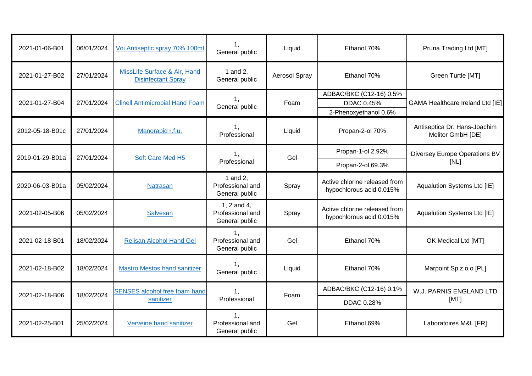| 2021-01-06-B01  | 06/01/2024 | Voi Antiseptic spray 70% 100ml                            | 1,<br>General public                              | Liquid        | Ethanol 70%                                                           | Pruna Trading Ltd [MT]                            |
|-----------------|------------|-----------------------------------------------------------|---------------------------------------------------|---------------|-----------------------------------------------------------------------|---------------------------------------------------|
| 2021-01-27-B02  | 27/01/2024 | MissLife Surface & Air, Hand<br><b>Disinfectant Spray</b> | 1 and 2,<br>General public                        | Aerosol Spray | Ethanol 70%                                                           | Green Turtle [MT]                                 |
| 2021-01-27-B04  | 27/01/2024 | <b>Clinell Antimicrobial Hand Foam</b>                    | 1.<br>General public                              | Foam          | ADBAC/BKC (C12-16) 0.5%<br><b>DDAC 0.45%</b><br>2-Phenoxyethanol 0.6% | <b>GAMA Healthcare Ireland Ltd [IE]</b>           |
| 2012-05-18-B01c | 27/01/2024 | Manorapid r.f.u.                                          | 1.<br>Professional                                | Liquid        | Propan-2-ol 70%                                                       | Antiseptica Dr. Hans-Joachim<br>Molitor GmbH [DE] |
| 2019-01-29-B01a |            | 27/01/2024<br>Soft Care Med H5                            | 1.                                                | Gel           | Propan-1-ol 2.92%                                                     | <b>Diversey Europe Operations BV</b><br>[NL]      |
|                 |            |                                                           | Professional                                      |               | Propan-2-ol 69.3%                                                     |                                                   |
| 2020-06-03-B01a | 05/02/2024 | Natrasan                                                  | 1 and 2,<br>Professional and<br>General public    | Spray         | Active chlorine released from<br>hypochlorous acid 0.015%             | Aqualution Systems Ltd [IE]                       |
| 2021-02-05-B06  | 05/02/2024 | <b>Salvesan</b>                                           | 1, 2 and 4,<br>Professional and<br>General public | Spray         | Active chlorine released from<br>hypochlorous acid 0.015%             | Aqualution Systems Ltd [IE]                       |
| 2021-02-18-B01  | 18/02/2024 | <b>Relisan Alcohol Hand Gel</b>                           | 1,<br>Professional and<br>General public          | Gel           | Ethanol 70%                                                           | OK Medical Ltd [MT]                               |
| 2021-02-18-B02  | 18/02/2024 | <b>Mastro Mestos hand sanitizer</b>                       | 1.<br>General public                              | Liquid        | Ethanol 70%                                                           | Marpoint Sp.z.o.o [PL]                            |
| 2021-02-18-B06  | 18/02/2024 | <b>SENSES alcohol free foam hand</b>                      | 1.                                                | Foam          | ADBAC/BKC (C12-16) 0.1%                                               | W.J. PARNIS ENGLAND LTD<br>[MT]                   |
|                 |            | sanitizer                                                 | Professional                                      |               | DDAC 0.28%                                                            |                                                   |
| 2021-02-25-B01  | 25/02/2024 | Verveine hand sanitizer                                   | 1.<br>Professional and<br>General public          | Gel           | Ethanol 69%                                                           | Laboratoires M&L [FR]                             |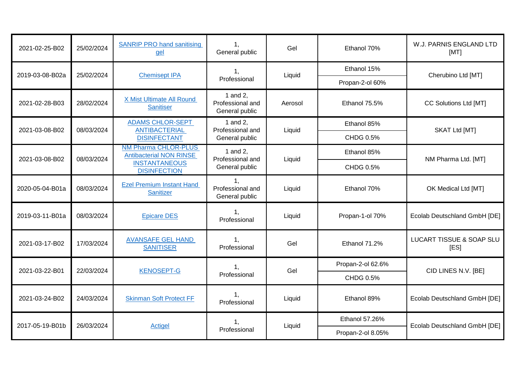| 2021-02-25-B02               | 25/02/2024 | <b>SANRIP PRO hand sanitising</b><br>gel                                                                     | 1,<br>General public                                | Gel     | Ethanol 70%       | W.J. PARNIS ENGLAND LTD<br>[MT]             |
|------------------------------|------------|--------------------------------------------------------------------------------------------------------------|-----------------------------------------------------|---------|-------------------|---------------------------------------------|
| 2019-03-08-B02a              |            | <b>Chemisept IPA</b>                                                                                         | 1.                                                  |         | Ethanol 15%       |                                             |
|                              | 25/02/2024 |                                                                                                              | Professional                                        | Liquid  | Propan-2-ol 60%   | Cherubino Ltd [MT]                          |
| 2021-02-28-B03               | 28/02/2024 | X Mist Ultimate All Round<br><b>Sanitiser</b>                                                                | 1 and 2,<br>Professional and<br>General public      | Aerosol | Ethanol 75.5%     | CC Solutions Ltd [MT]                       |
| 2021-03-08-B02               | 08/03/2024 | <b>ADAMS CHLOR-SEPT</b><br><b>ANTIBACTERIAL</b>                                                              | 1 and 2,<br>Professional and                        | Liquid  | Ethanol 85%       | SKAT Ltd [MT]                               |
|                              |            | <b>DISINFECTANT</b>                                                                                          | General public                                      |         | CHDG 0.5%         |                                             |
| 08/03/2024<br>2021-03-08-B02 |            | <b>NM Pharma CHLOR-PLUS</b><br><b>Antibacterial NON RINSE</b><br><b>INSTANTANEOUS</b><br><b>DISINFECTION</b> | 1 and 2,<br>Professional and<br>General public      |         | Ethanol 85%       |                                             |
|                              |            |                                                                                                              |                                                     | Liquid  | CHDG 0.5%         | NM Pharma Ltd. [MT]                         |
| 2020-05-04-B01a              | 08/03/2024 | <b>Ezel Premium Instant Hand</b><br><b>Sanitizer</b>                                                         | $\mathbf{1},$<br>Professional and<br>General public | Liquid  | Ethanol 70%       | OK Medical Ltd [MT]                         |
| 2019-03-11-B01a              | 08/03/2024 | <b>Epicare DES</b>                                                                                           | 1.<br>Professional                                  | Liquid  | Propan-1-ol 70%   | Ecolab Deutschland GmbH [DE]                |
| 2021-03-17-B02               | 17/03/2024 | <b>AVANSAFE GEL HAND</b><br><b>SANITISER</b>                                                                 | 1,<br>Professional                                  | Gel     | Ethanol 71.2%     | <b>LUCART TISSUE &amp; SOAP SLU</b><br>[ES] |
| 2021-03-22-B01               | 22/03/2024 | <b>KENOSEPT-G</b>                                                                                            | 1,                                                  | Gel     | Propan-2-ol 62.6% | CID LINES N.V. [BE]                         |
|                              |            |                                                                                                              | Professional                                        |         | CHDG 0.5%         |                                             |
| 2021-03-24-B02               | 24/03/2024 | <b>Skinman Soft Protect FF</b>                                                                               | 1.<br>Professional                                  | Liquid  | Ethanol 89%       | Ecolab Deutschland GmbH [DE]                |
| 2017-05-19-B01b              | 26/03/2024 | Actigel                                                                                                      | 1,<br>Professional                                  |         | Ethanol 57.26%    | Ecolab Deutschland GmbH [DE]                |
|                              |            |                                                                                                              |                                                     | Liquid  | Propan-2-ol 8.05% |                                             |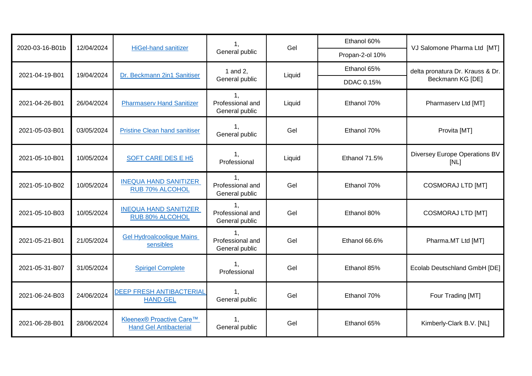| 2020-03-16-B01b | 12/04/2024 | <b>HiGel-hand sanitizer</b>                               | 1,                                                  | Gel    | Ethanol 60%       | VJ Salomone Pharma Ltd [MT]           |
|-----------------|------------|-----------------------------------------------------------|-----------------------------------------------------|--------|-------------------|---------------------------------------|
|                 |            |                                                           | General public                                      |        | Propan-2-ol 10%   |                                       |
| 2021-04-19-B01  | 19/04/2024 | Dr. Beckmann 2in1 Sanitiser                               | 1 and 2,                                            | Liquid | Ethanol 65%       | delta pronatura Dr. Krauss & Dr.      |
|                 |            |                                                           | General public                                      |        | <b>DDAC 0.15%</b> | Beckmann KG [DE]                      |
| 2021-04-26-B01  | 26/04/2024 | <b>Pharmaserv Hand Sanitizer</b>                          | 1.<br>Professional and<br>General public            | Liquid | Ethanol 70%       | Pharmaserv Ltd [MT]                   |
| 2021-05-03-B01  | 03/05/2024 | <b>Pristine Clean hand sanitiser</b>                      | 1,<br>General public                                | Gel    | Ethanol 70%       | Provita [MT]                          |
| 2021-05-10-B01  | 10/05/2024 | SOFT CARE DES E H5                                        | 1.<br>Professional                                  | Liquid | Ethanol 71.5%     | Diversey Europe Operations BV<br>[NL] |
| 2021-05-10-B02  | 10/05/2024 | <b>INEQUA HAND SANITIZER</b><br><b>RUB 70% ALCOHOL</b>    | 1.<br>Professional and<br>General public            | Gel    | Ethanol 70%       | <b>COSMORAJ LTD [MT]</b>              |
| 2021-05-10-B03  | 10/05/2024 | <b>INEQUA HAND SANITIZER</b><br>RUB 80% ALCOHOL           | $\mathbf{1},$<br>Professional and<br>General public | Gel    | Ethanol 80%       | <b>COSMORAJ LTD [MT]</b>              |
| 2021-05-21-B01  | 21/05/2024 | <b>Gel Hydroalcoolique Mains</b><br>sensibles             | $1_{-}$<br>Professional and<br>General public       | Gel    | Ethanol 66.6%     | Pharma.MT Ltd [MT]                    |
| 2021-05-31-B07  | 31/05/2024 | <b>Spirigel Complete</b>                                  | 1 <sub>1</sub><br>Professional                      | Gel    | Ethanol 85%       | Ecolab Deutschland GmbH [DE]          |
| 2021-06-24-B03  | 24/06/2024 | <b>DEEP FRESH ANTIBACTERIAL</b><br><b>HAND GEL</b>        | 1.<br>General public                                | Gel    | Ethanol 70%       | Four Trading [MT]                     |
| 2021-06-28-B01  | 28/06/2024 | Kleenex® Proactive Care™<br><b>Hand Gel Antibacterial</b> | 1,<br>General public                                | Gel    | Ethanol 65%       | Kimberly-Clark B.V. [NL]              |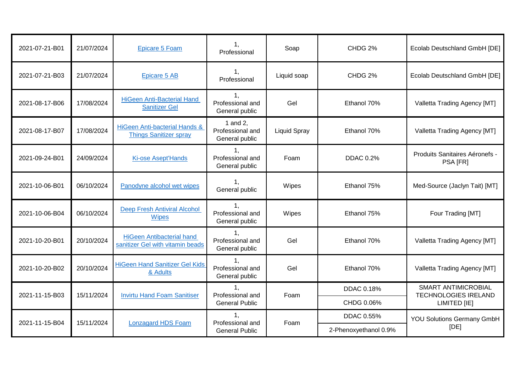| 2021-07-21-B01 | 21/07/2024 | <b>Epicare 5 Foam</b>                                                | $\mathbf{1},$<br>Professional                        | Soap                | CHDG 2%               | Ecolab Deutschland GmbH [DE]                                              |
|----------------|------------|----------------------------------------------------------------------|------------------------------------------------------|---------------------|-----------------------|---------------------------------------------------------------------------|
| 2021-07-21-B03 | 21/07/2024 | <b>Epicare 5 AB</b>                                                  | 1.<br>Professional                                   | Liquid soap         | CHDG 2%               | Ecolab Deutschland GmbH [DE]                                              |
| 2021-08-17-B06 | 17/08/2024 | <b>HiGeen Anti-Bacterial Hand</b><br><b>Sanitizer Gel</b>            | Professional and<br>General public                   | Gel                 | Ethanol 70%           | Valletta Trading Agency [MT]                                              |
| 2021-08-17-B07 | 17/08/2024 | <b>HiGeen Anti-bacterial Hands &amp;</b><br>Things Sanitizer spray   | 1 and 2,<br>Professional and<br>General public       | <b>Liquid Spray</b> | Ethanol 70%           | Valletta Trading Agency [MT]                                              |
| 2021-09-24-B01 | 24/09/2024 | <b>Ki-ose Asept'Hands</b>                                            | 1 <sub>1</sub><br>Professional and<br>General public | Foam                | <b>DDAC 0.2%</b>      | Produits Sanitaires Aéronefs -<br>PSA [FR]                                |
| 2021-10-06-B01 | 06/10/2024 | Panodyne alcohol wet wipes                                           | $\mathbf{1},$<br>General public                      | Wipes               | Ethanol 75%           | Med-Source (Jaclyn Tait) [MT]                                             |
| 2021-10-06-B04 | 06/10/2024 | <b>Deep Fresh Antiviral Alcohol</b><br><b>Wipes</b>                  | 1,<br>Professional and<br>General public             | Wipes               | Ethanol 75%           | Four Trading [MT]                                                         |
| 2021-10-20-B01 | 20/10/2024 | <b>HiGeen Antibacterial hand</b><br>sanitizer Gel with vitamin beads | Professional and<br>General public                   | Gel                 | Ethanol 70%           | Valletta Trading Agency [MT]                                              |
| 2021-10-20-B02 | 20/10/2024 | <b>HiGeen Hand Sanitizer Gel Kids</b><br>& Adults                    | 1,<br>Professional and<br>General public             | Gel                 | Ethanol 70%           | Valletta Trading Agency [MT]                                              |
| 2021-11-15-B03 | 15/11/2024 | <b>Invirtu Hand Foam Sanitiser</b>                                   | 1 <sub>1</sub><br>Professional and                   | Foam                | DDAC 0.18%            | <b>SMART ANTIMICROBIAL</b><br><b>TECHNOLOGIES IRELAND</b><br>LIMITED [IE] |
|                |            |                                                                      | <b>General Public</b>                                |                     | CHDG 0.06%            |                                                                           |
| 2021-11-15-B04 | 15/11/2024 | <b>Lonzagard HDS Foam</b>                                            | Professional and<br><b>General Public</b>            | Foam                | DDAC 0.55%            | <b>YOU Solutions Germany GmbH</b>                                         |
|                |            |                                                                      |                                                      |                     | 2-Phenoxyethanol 0.9% | [DE]                                                                      |